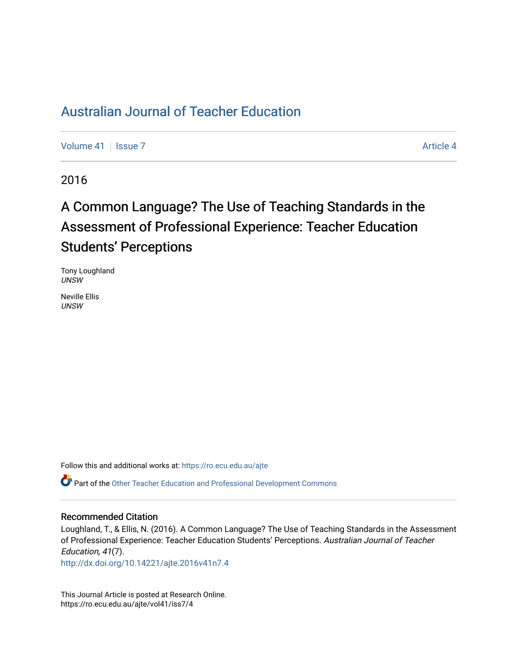## [Australian Journal of Teacher Education](https://ro.ecu.edu.au/ajte)

[Volume 41](https://ro.ecu.edu.au/ajte/vol41) | [Issue 7](https://ro.ecu.edu.au/ajte/vol41/iss7) Article 4

2016

# A Common Language? The Use of Teaching Standards in the Assessment of Professional Experience: Teacher Education Students' Perceptions

Tony Loughland UNSW

Neville Ellis UNSW

Follow this and additional works at: [https://ro.ecu.edu.au/ajte](https://ro.ecu.edu.au/ajte?utm_source=ro.ecu.edu.au%2Fajte%2Fvol41%2Fiss7%2F4&utm_medium=PDF&utm_campaign=PDFCoverPages) 

Part of the [Other Teacher Education and Professional Development Commons](http://network.bepress.com/hgg/discipline/810?utm_source=ro.ecu.edu.au%2Fajte%2Fvol41%2Fiss7%2F4&utm_medium=PDF&utm_campaign=PDFCoverPages) 

#### Recommended Citation

Loughland, T., & Ellis, N. (2016). A Common Language? The Use of Teaching Standards in the Assessment of Professional Experience: Teacher Education Students' Perceptions. Australian Journal of Teacher Education, 41(7).

<http://dx.doi.org/10.14221/ajte.2016v41n7.4>

This Journal Article is posted at Research Online. https://ro.ecu.edu.au/ajte/vol41/iss7/4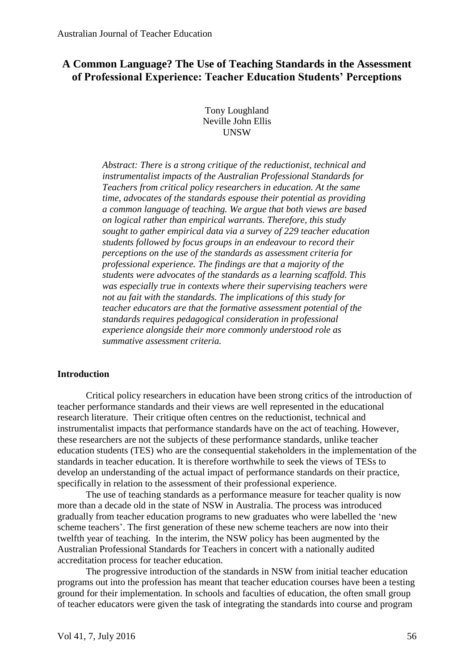## **A Common Language? The Use of Teaching Standards in the Assessment of Professional Experience: Teacher Education Students' Perceptions**

Tony Loughland Neville John Ellis **IINSW** 

*Abstract: There is a strong critique of the reductionist, technical and instrumentalist impacts of the Australian Professional Standards for Teachers from critical policy researchers in education. At the same time, advocates of the standards espouse their potential as providing a common language of teaching. We argue that both views are based on logical rather than empirical warrants. Therefore, this study sought to gather empirical data via a survey of 229 teacher education students followed by focus groups in an endeavour to record their perceptions on the use of the standards as assessment criteria for professional experience. The findings are that a majority of the students were advocates of the standards as a learning scaffold. This was especially true in contexts where their supervising teachers were not au fait with the standards. The implications of this study for teacher educators are that the formative assessment potential of the standards requires pedagogical consideration in professional experience alongside their more commonly understood role as summative assessment criteria.*

## **Introduction**

Critical policy researchers in education have been strong critics of the introduction of teacher performance standards and their views are well represented in the educational research literature. Their critique often centres on the reductionist, technical and instrumentalist impacts that performance standards have on the act of teaching. However, these researchers are not the subjects of these performance standards, unlike teacher education students (TES) who are the consequential stakeholders in the implementation of the standards in teacher education. It is therefore worthwhile to seek the views of TESs to develop an understanding of the actual impact of performance standards on their practice, specifically in relation to the assessment of their professional experience.

The use of teaching standards as a performance measure for teacher quality is now more than a decade old in the state of NSW in Australia. The process was introduced gradually from teacher education programs to new graduates who were labelled the 'new scheme teachers'. The first generation of these new scheme teachers are now into their twelfth year of teaching. In the interim, the NSW policy has been augmented by the Australian Professional Standards for Teachers in concert with a nationally audited accreditation process for teacher education.

The progressive introduction of the standards in NSW from initial teacher education programs out into the profession has meant that teacher education courses have been a testing ground for their implementation. In schools and faculties of education, the often small group of teacher educators were given the task of integrating the standards into course and program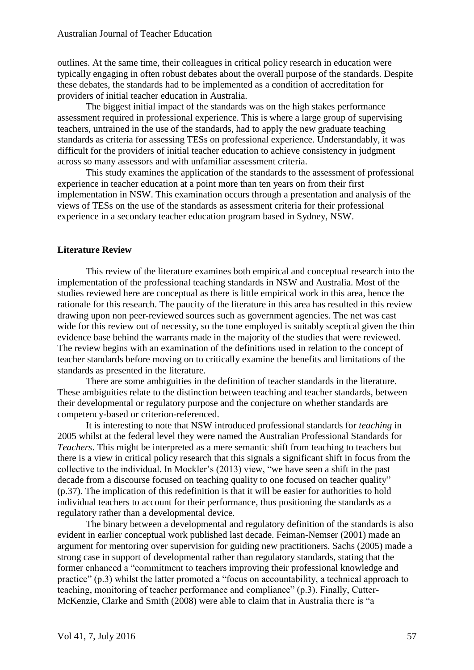outlines. At the same time, their colleagues in critical policy research in education were typically engaging in often robust debates about the overall purpose of the standards. Despite these debates, the standards had to be implemented as a condition of accreditation for providers of initial teacher education in Australia.

The biggest initial impact of the standards was on the high stakes performance assessment required in professional experience. This is where a large group of supervising teachers, untrained in the use of the standards, had to apply the new graduate teaching standards as criteria for assessing TESs on professional experience. Understandably, it was difficult for the providers of initial teacher education to achieve consistency in judgment across so many assessors and with unfamiliar assessment criteria.

This study examines the application of the standards to the assessment of professional experience in teacher education at a point more than ten years on from their first implementation in NSW. This examination occurs through a presentation and analysis of the views of TESs on the use of the standards as assessment criteria for their professional experience in a secondary teacher education program based in Sydney, NSW.

## **Literature Review**

This review of the literature examines both empirical and conceptual research into the implementation of the professional teaching standards in NSW and Australia. Most of the studies reviewed here are conceptual as there is little empirical work in this area, hence the rationale for this research. The paucity of the literature in this area has resulted in this review drawing upon non peer-reviewed sources such as government agencies. The net was cast wide for this review out of necessity, so the tone employed is suitably sceptical given the thin evidence base behind the warrants made in the majority of the studies that were reviewed. The review begins with an examination of the definitions used in relation to the concept of teacher standards before moving on to critically examine the benefits and limitations of the standards as presented in the literature.

There are some ambiguities in the definition of teacher standards in the literature. These ambiguities relate to the distinction between teaching and teacher standards, between their developmental or regulatory purpose and the conjecture on whether standards are competency-based or criterion-referenced.

It is interesting to note that NSW introduced professional standards for *teaching* in 2005 whilst at the federal level they were named the Australian Professional Standards for *Teachers*. This might be interpreted as a mere semantic shift from teaching to teachers but there is a view in critical policy research that this signals a significant shift in focus from the collective to the individual. In Mockler's (2013) view, "we have seen a shift in the past decade from a discourse focused on teaching quality to one focused on teacher quality" (p.37). The implication of this redefinition is that it will be easier for authorities to hold individual teachers to account for their performance, thus positioning the standards as a regulatory rather than a developmental device.

The binary between a developmental and regulatory definition of the standards is also evident in earlier conceptual work published last decade. Feiman-Nemser (2001) made an argument for mentoring over supervision for guiding new practitioners. Sachs (2005) made a strong case in support of developmental rather than regulatory standards, stating that the former enhanced a "commitment to teachers improving their professional knowledge and practice" (p.3) whilst the latter promoted a "focus on accountability, a technical approach to teaching, monitoring of teacher performance and compliance" (p.3). Finally, Cutter-McKenzie, Clarke and Smith (2008) were able to claim that in Australia there is "a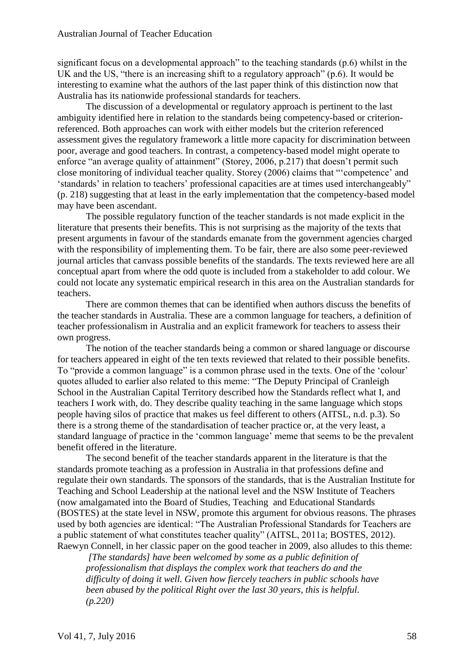significant focus on a developmental approach" to the teaching standards (p.6) whilst in the UK and the US, "there is an increasing shift to a regulatory approach" (p.6). It would be interesting to examine what the authors of the last paper think of this distinction now that Australia has its nationwide professional standards for teachers.

The discussion of a developmental or regulatory approach is pertinent to the last ambiguity identified here in relation to the standards being competency-based or criterionreferenced. Both approaches can work with either models but the criterion referenced assessment gives the regulatory framework a little more capacity for discrimination between poor, average and good teachers. In contrast, a competency-based model might operate to enforce "an average quality of attainment" (Storey, 2006, p.217) that doesn't permit such close monitoring of individual teacher quality. Storey (2006) claims that "'competence' and 'standards' in relation to teachers' professional capacities are at times used interchangeably" (p. 218) suggesting that at least in the early implementation that the competency-based model may have been ascendant.

The possible regulatory function of the teacher standards is not made explicit in the literature that presents their benefits. This is not surprising as the majority of the texts that present arguments in favour of the standards emanate from the government agencies charged with the responsibility of implementing them. To be fair, there are also some peer-reviewed journal articles that canvass possible benefits of the standards. The texts reviewed here are all conceptual apart from where the odd quote is included from a stakeholder to add colour. We could not locate any systematic empirical research in this area on the Australian standards for teachers.

There are common themes that can be identified when authors discuss the benefits of the teacher standards in Australia. These are a common language for teachers, a definition of teacher professionalism in Australia and an explicit framework for teachers to assess their own progress.

The notion of the teacher standards being a common or shared language or discourse for teachers appeared in eight of the ten texts reviewed that related to their possible benefits. To "provide a common language" is a common phrase used in the texts. One of the 'colour' quotes alluded to earlier also related to this meme: "The Deputy Principal of Cranleigh School in the Australian Capital Territory described how the Standards reflect what I, and teachers I work with, do. They describe quality teaching in the same language which stops people having silos of practice that makes us feel different to others (AITSL, n.d. p.3). So there is a strong theme of the standardisation of teacher practice or, at the very least, a standard language of practice in the 'common language' meme that seems to be the prevalent benefit offered in the literature.

The second benefit of the teacher standards apparent in the literature is that the standards promote teaching as a profession in Australia in that professions define and regulate their own standards. The sponsors of the standards, that is the Australian Institute for Teaching and School Leadership at the national level and the NSW Institute of Teachers (now amalgamated into the Board of Studies, Teaching and Educational Standards (BOSTES) at the state level in NSW, promote this argument for obvious reasons. The phrases used by both agencies are identical: "The Australian Professional Standards for Teachers are a public statement of what constitutes teacher quality" (AITSL, 2011a; BOSTES, 2012). Raewyn Connell, in her classic paper on the good teacher in 2009, also alludes to this theme:

*[The standards] have been welcomed by some as a public definition of professionalism that displays the complex work that teachers do and the difficulty of doing it well. Given how fiercely teachers in public schools have been abused by the political Right over the last 30 years, this is helpful. (p.220)*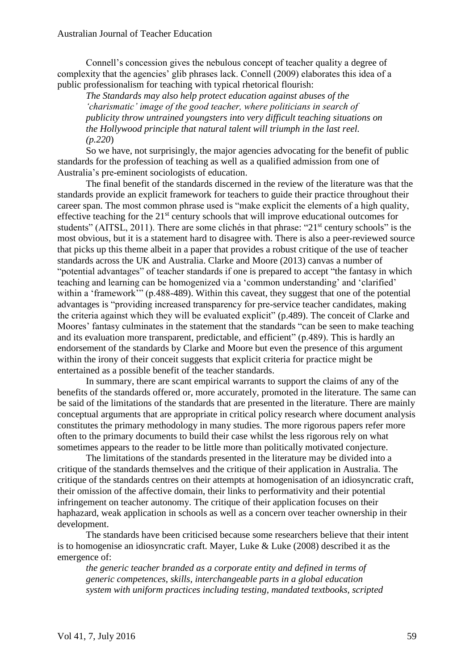Connell's concession gives the nebulous concept of teacher quality a degree of complexity that the agencies' glib phrases lack. Connell (2009) elaborates this idea of a public professionalism for teaching with typical rhetorical flourish:

*The Standards may also help protect education against abuses of the 'charismatic' image of the good teacher, where politicians in search of publicity throw untrained youngsters into very difficult teaching situations on the Hollywood principle that natural talent will triumph in the last reel. (p.220*)

So we have, not surprisingly, the major agencies advocating for the benefit of public standards for the profession of teaching as well as a qualified admission from one of Australia's pre-eminent sociologists of education.

The final benefit of the standards discerned in the review of the literature was that the standards provide an explicit framework for teachers to guide their practice throughout their career span. The most common phrase used is "make explicit the elements of a high quality, effective teaching for the 21st century schools that will improve educational outcomes for students" (AITSL, 2011). There are some clichés in that phrase: "21<sup>st</sup> century schools" is the most obvious, but it is a statement hard to disagree with. There is also a peer-reviewed source that picks up this theme albeit in a paper that provides a robust critique of the use of teacher standards across the UK and Australia. Clarke and Moore (2013) canvas a number of "potential advantages" of teacher standards if one is prepared to accept "the fantasy in which teaching and learning can be homogenized via a 'common understanding' and 'clarified' within a 'framework'" (p.488-489). Within this caveat, they suggest that one of the potential advantages is "providing increased transparency for pre-service teacher candidates, making the criteria against which they will be evaluated explicit" (p.489). The conceit of Clarke and Moores' fantasy culminates in the statement that the standards "can be seen to make teaching and its evaluation more transparent, predictable, and efficient" (p.489). This is hardly an endorsement of the standards by Clarke and Moore but even the presence of this argument within the irony of their conceit suggests that explicit criteria for practice might be entertained as a possible benefit of the teacher standards.

In summary, there are scant empirical warrants to support the claims of any of the benefits of the standards offered or, more accurately, promoted in the literature. The same can be said of the limitations of the standards that are presented in the literature. There are mainly conceptual arguments that are appropriate in critical policy research where document analysis constitutes the primary methodology in many studies. The more rigorous papers refer more often to the primary documents to build their case whilst the less rigorous rely on what sometimes appears to the reader to be little more than politically motivated conjecture.

The limitations of the standards presented in the literature may be divided into a critique of the standards themselves and the critique of their application in Australia. The critique of the standards centres on their attempts at homogenisation of an idiosyncratic craft, their omission of the affective domain, their links to performativity and their potential infringement on teacher autonomy. The critique of their application focuses on their haphazard, weak application in schools as well as a concern over teacher ownership in their development.

The standards have been criticised because some researchers believe that their intent is to homogenise an idiosyncratic craft. Mayer, Luke & Luke (2008) described it as the emergence of:

*the generic teacher branded as a corporate entity and defined in terms of generic competences, skills, interchangeable parts in a global education system with uniform practices including testing, mandated textbooks, scripted*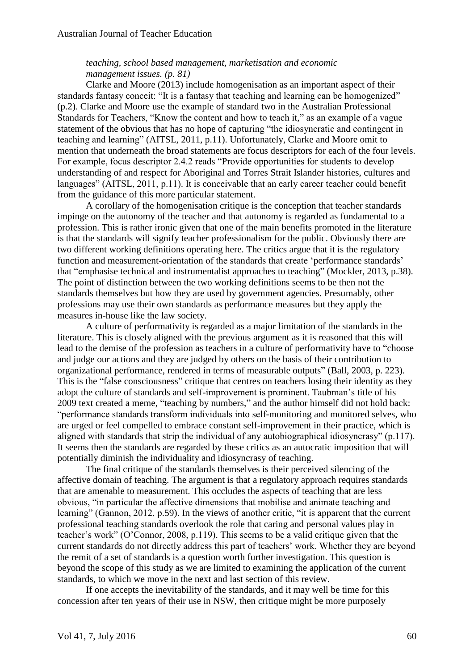## *teaching, school based management, marketisation and economic management issues. (p. 81)*

Clarke and Moore (2013) include homogenisation as an important aspect of their standards fantasy conceit: "It is a fantasy that teaching and learning can be homogenized" (p.2). Clarke and Moore use the example of standard two in the Australian Professional Standards for Teachers, "Know the content and how to teach it," as an example of a vague statement of the obvious that has no hope of capturing "the idiosyncratic and contingent in teaching and learning" (AITSL, 2011, p.11). Unfortunately, Clarke and Moore omit to mention that underneath the broad statements are focus descriptors for each of the four levels. For example, focus descriptor 2.4.2 reads "Provide opportunities for students to develop understanding of and respect for Aboriginal and Torres Strait Islander histories, cultures and languages" (AITSL, 2011, p.11). It is conceivable that an early career teacher could benefit from the guidance of this more particular statement.

A corollary of the homogenisation critique is the conception that teacher standards impinge on the autonomy of the teacher and that autonomy is regarded as fundamental to a profession. This is rather ironic given that one of the main benefits promoted in the literature is that the standards will signify teacher professionalism for the public. Obviously there are two different working definitions operating here. The critics argue that it is the regulatory function and measurement-orientation of the standards that create 'performance standards' that "emphasise technical and instrumentalist approaches to teaching" (Mockler, 2013, p.38). The point of distinction between the two working definitions seems to be then not the standards themselves but how they are used by government agencies. Presumably, other professions may use their own standards as performance measures but they apply the measures in-house like the law society.

A culture of performativity is regarded as a major limitation of the standards in the literature. This is closely aligned with the previous argument as it is reasoned that this will lead to the demise of the profession as teachers in a culture of performativity have to "choose and judge our actions and they are judged by others on the basis of their contribution to organizational performance, rendered in terms of measurable outputs" (Ball, 2003, p. 223). This is the "false consciousness" critique that centres on teachers losing their identity as they adopt the culture of standards and self-improvement is prominent. Taubman's title of his 2009 text created a meme, "teaching by numbers," and the author himself did not hold back: "performance standards transform individuals into self-monitoring and monitored selves, who are urged or feel compelled to embrace constant self-improvement in their practice, which is aligned with standards that strip the individual of any autobiographical idiosyncrasy" (p.117). It seems then the standards are regarded by these critics as an autocratic imposition that will potentially diminish the individuality and idiosyncrasy of teaching.

The final critique of the standards themselves is their perceived silencing of the affective domain of teaching. The argument is that a regulatory approach requires standards that are amenable to measurement. This occludes the aspects of teaching that are less obvious, "in particular the affective dimensions that mobilise and animate teaching and learning" (Gannon, 2012, p.59). In the views of another critic, "it is apparent that the current professional teaching standards overlook the role that caring and personal values play in teacher's work" (O'Connor, 2008, p.119). This seems to be a valid critique given that the current standards do not directly address this part of teachers' work. Whether they are beyond the remit of a set of standards is a question worth further investigation. This question is beyond the scope of this study as we are limited to examining the application of the current standards, to which we move in the next and last section of this review.

If one accepts the inevitability of the standards, and it may well be time for this concession after ten years of their use in NSW, then critique might be more purposely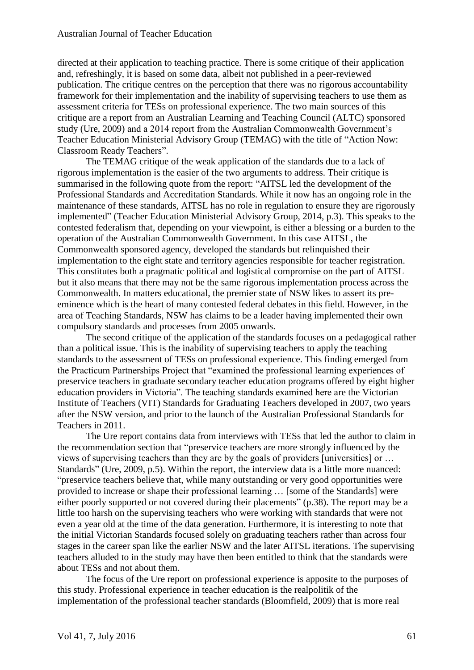directed at their application to teaching practice. There is some critique of their application and, refreshingly, it is based on some data, albeit not published in a peer-reviewed publication. The critique centres on the perception that there was no rigorous accountability framework for their implementation and the inability of supervising teachers to use them as assessment criteria for TESs on professional experience. The two main sources of this critique are a report from an Australian Learning and Teaching Council (ALTC) sponsored study (Ure, 2009) and a 2014 report from the Australian Commonwealth Government's Teacher Education Ministerial Advisory Group (TEMAG) with the title of "Action Now: Classroom Ready Teachers".

The TEMAG critique of the weak application of the standards due to a lack of rigorous implementation is the easier of the two arguments to address. Their critique is summarised in the following quote from the report: "AITSL led the development of the Professional Standards and Accreditation Standards. While it now has an ongoing role in the maintenance of these standards, AITSL has no role in regulation to ensure they are rigorously implemented" (Teacher Education Ministerial Advisory Group, 2014, p.3). This speaks to the contested federalism that, depending on your viewpoint, is either a blessing or a burden to the operation of the Australian Commonwealth Government. In this case AITSL, the Commonwealth sponsored agency, developed the standards but relinquished their implementation to the eight state and territory agencies responsible for teacher registration. This constitutes both a pragmatic political and logistical compromise on the part of AITSL but it also means that there may not be the same rigorous implementation process across the Commonwealth. In matters educational, the premier state of NSW likes to assert its preeminence which is the heart of many contested federal debates in this field. However, in the area of Teaching Standards, NSW has claims to be a leader having implemented their own compulsory standards and processes from 2005 onwards.

The second critique of the application of the standards focuses on a pedagogical rather than a political issue. This is the inability of supervising teachers to apply the teaching standards to the assessment of TESs on professional experience. This finding emerged from the Practicum Partnerships Project that "examined the professional learning experiences of preservice teachers in graduate secondary teacher education programs offered by eight higher education providers in Victoria". The teaching standards examined here are the Victorian Institute of Teachers (VIT) Standards for Graduating Teachers developed in 2007, two years after the NSW version, and prior to the launch of the Australian Professional Standards for Teachers in 2011.

The Ure report contains data from interviews with TESs that led the author to claim in the recommendation section that "preservice teachers are more strongly influenced by the views of supervising teachers than they are by the goals of providers [universities] or … Standards" (Ure, 2009, p.5). Within the report, the interview data is a little more nuanced: "preservice teachers believe that, while many outstanding or very good opportunities were provided to increase or shape their professional learning … [some of the Standards] were either poorly supported or not covered during their placements" (p.38). The report may be a little too harsh on the supervising teachers who were working with standards that were not even a year old at the time of the data generation. Furthermore, it is interesting to note that the initial Victorian Standards focused solely on graduating teachers rather than across four stages in the career span like the earlier NSW and the later AITSL iterations. The supervising teachers alluded to in the study may have then been entitled to think that the standards were about TESs and not about them.

The focus of the Ure report on professional experience is apposite to the purposes of this study. Professional experience in teacher education is the realpolitik of the implementation of the professional teacher standards (Bloomfield, 2009) that is more real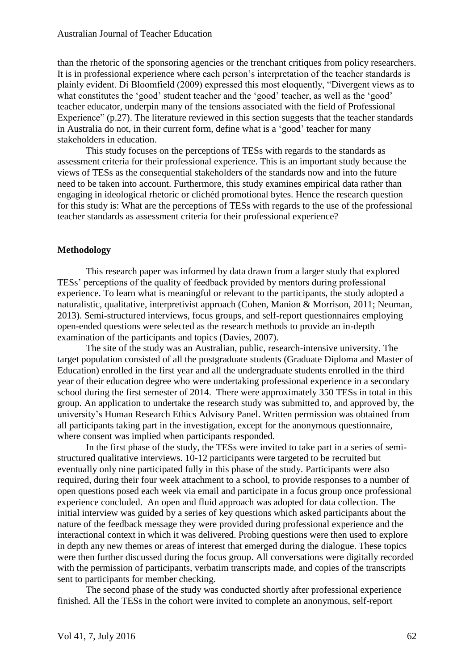than the rhetoric of the sponsoring agencies or the trenchant critiques from policy researchers. It is in professional experience where each person's interpretation of the teacher standards is plainly evident. Di Bloomfield (2009) expressed this most eloquently, "Divergent views as to what constitutes the 'good' student teacher and the 'good' teacher, as well as the 'good' teacher educator, underpin many of the tensions associated with the field of Professional Experience" (p.27). The literature reviewed in this section suggests that the teacher standards in Australia do not, in their current form, define what is a 'good' teacher for many stakeholders in education.

This study focuses on the perceptions of TESs with regards to the standards as assessment criteria for their professional experience. This is an important study because the views of TESs as the consequential stakeholders of the standards now and into the future need to be taken into account. Furthermore, this study examines empirical data rather than engaging in ideological rhetoric or clichéd promotional bytes. Hence the research question for this study is: What are the perceptions of TESs with regards to the use of the professional teacher standards as assessment criteria for their professional experience?

#### **Methodology**

This research paper was informed by data drawn from a larger study that explored TESs' perceptions of the quality of feedback provided by mentors during professional experience. To learn what is meaningful or relevant to the participants, the study adopted a naturalistic, qualitative, interpretivist approach (Cohen, Manion & Morrison, 2011; Neuman, 2013). Semi-structured interviews, focus groups, and self-report questionnaires employing open-ended questions were selected as the research methods to provide an in-depth examination of the participants and topics (Davies, 2007).

The site of the study was an Australian, public, research-intensive university. The target population consisted of all the postgraduate students (Graduate Diploma and Master of Education) enrolled in the first year and all the undergraduate students enrolled in the third year of their education degree who were undertaking professional experience in a secondary school during the first semester of 2014. There were approximately 350 TESs in total in this group. An application to undertake the research study was submitted to, and approved by, the university's Human Research Ethics Advisory Panel. Written permission was obtained from all participants taking part in the investigation, except for the anonymous questionnaire, where consent was implied when participants responded.

In the first phase of the study, the TESs were invited to take part in a series of semistructured qualitative interviews. 10-12 participants were targeted to be recruited but eventually only nine participated fully in this phase of the study. Participants were also required, during their four week attachment to a school, to provide responses to a number of open questions posed each week via email and participate in a focus group once professional experience concluded. An open and fluid approach was adopted for data collection. The initial interview was guided by a series of key questions which asked participants about the nature of the feedback message they were provided during professional experience and the interactional context in which it was delivered. Probing questions were then used to explore in depth any new themes or areas of interest that emerged during the dialogue. These topics were then further discussed during the focus group. All conversations were digitally recorded with the permission of participants, verbatim transcripts made, and copies of the transcripts sent to participants for member checking.

The second phase of the study was conducted shortly after professional experience finished. All the TESs in the cohort were invited to complete an anonymous, self-report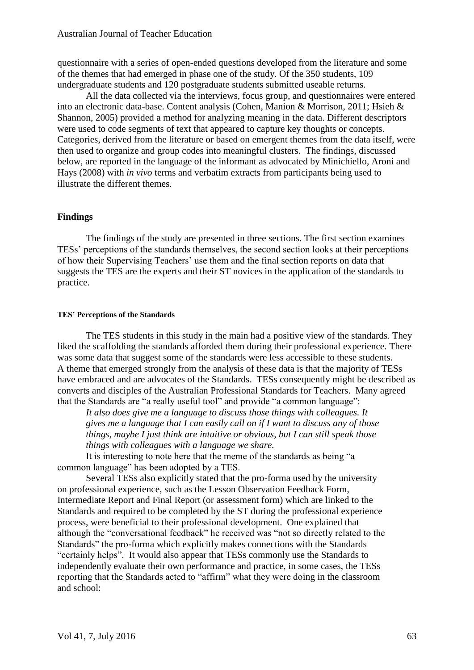questionnaire with a series of open-ended questions developed from the literature and some of the themes that had emerged in phase one of the study. Of the 350 students, 109 undergraduate students and 120 postgraduate students submitted useable returns.

All the data collected via the interviews, focus group, and questionnaires were entered into an electronic data-base. Content analysis (Cohen, Manion & Morrison, 2011; Hsieh & Shannon, 2005) provided a method for analyzing meaning in the data. Different descriptors were used to code segments of text that appeared to capture key thoughts or concepts. Categories, derived from the literature or based on emergent themes from the data itself, were then used to organize and group codes into meaningful clusters. The findings, discussed below, are reported in the language of the informant as advocated by Minichiello, Aroni and Hays (2008) with *in vivo* terms and verbatim extracts from participants being used to illustrate the different themes.

#### **Findings**

The findings of the study are presented in three sections. The first section examines TESs' perceptions of the standards themselves, the second section looks at their perceptions of how their Supervising Teachers' use them and the final section reports on data that suggests the TES are the experts and their ST novices in the application of the standards to practice.

#### **TES' Perceptions of the Standards**

The TES students in this study in the main had a positive view of the standards. They liked the scaffolding the standards afforded them during their professional experience. There was some data that suggest some of the standards were less accessible to these students. A theme that emerged strongly from the analysis of these data is that the majority of TESs have embraced and are advocates of the Standards. TESs consequently might be described as converts and disciples of the Australian Professional Standards for Teachers. Many agreed that the Standards are "a really useful tool" and provide "a common language":

*It also does give me a language to discuss those things with colleagues. It gives me a language that I can easily call on if I want to discuss any of those things, maybe I just think are intuitive or obvious, but I can still speak those things with colleagues with a language we share.*

It is interesting to note here that the meme of the standards as being "a common language" has been adopted by a TES.

Several TESs also explicitly stated that the pro-forma used by the university on professional experience, such as the Lesson Observation Feedback Form, Intermediate Report and Final Report (or assessment form) which are linked to the Standards and required to be completed by the ST during the professional experience process, were beneficial to their professional development. One explained that although the "conversational feedback" he received was "not so directly related to the Standards" the pro-forma which explicitly makes connections with the Standards "certainly helps". It would also appear that TESs commonly use the Standards to independently evaluate their own performance and practice, in some cases, the TESs reporting that the Standards acted to "affirm" what they were doing in the classroom and school: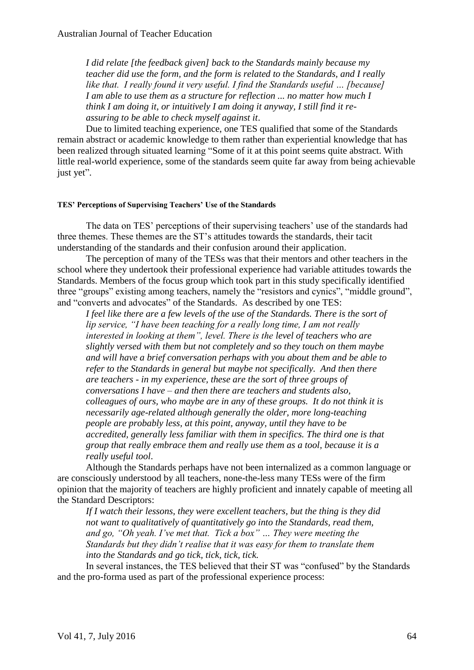*I did relate [the feedback given] back to the Standards mainly because my teacher did use the form, and the form is related to the Standards, and I really like that. I really found it very useful. I find the Standards useful … [because] I am able to use them as a structure for reflection ... no matter how much I think I am doing it, or intuitively I am doing it anyway, I still find it reassuring to be able to check myself against it*.

Due to limited teaching experience, one TES qualified that some of the Standards remain abstract or academic knowledge to them rather than experiential knowledge that has been realized through situated learning "Some of it at this point seems quite abstract. With little real-world experience, some of the standards seem quite far away from being achievable just yet".

## **TES' Perceptions of Supervising Teachers' Use of the Standards**

The data on TES' perceptions of their supervising teachers' use of the standards had three themes. These themes are the ST's attitudes towards the standards, their tacit understanding of the standards and their confusion around their application.

The perception of many of the TESs was that their mentors and other teachers in the school where they undertook their professional experience had variable attitudes towards the Standards. Members of the focus group which took part in this study specifically identified three "groups" existing among teachers, namely the "resistors and cynics", "middle ground", and "converts and advocates" of the Standards. As described by one TES:

*I feel like there are a few levels of the use of the Standards. There is the sort of lip service, "I have been teaching for a really long time, I am not really interested in looking at them", level. There is the level of teachers who are slightly versed with them but not completely and so they touch on them maybe and will have a brief conversation perhaps with you about them and be able to refer to the Standards in general but maybe not specifically. And then there are teachers - in my experience, these are the sort of three groups of conversations I have – and then there are teachers and students also, colleagues of ours, who maybe are in any of these groups. It do not think it is necessarily age-related although generally the older, more long-teaching people are probably less, at this point, anyway, until they have to be accredited, generally less familiar with them in specifics. The third one is that group that really embrace them and really use them as a tool, because it is a really useful tool*.

Although the Standards perhaps have not been internalized as a common language or are consciously understood by all teachers, none-the-less many TESs were of the firm opinion that the majority of teachers are highly proficient and innately capable of meeting all the Standard Descriptors:

*If I watch their lessons, they were excellent teachers, but the thing is they did not want to qualitatively of quantitatively go into the Standards, read them, and go, "Oh yeah. I've met that. Tick a box" … They were meeting the Standards but they didn't realise that it was easy for them to translate them into the Standards and go tick, tick, tick, tick.*

In several instances, the TES believed that their ST was "confused" by the Standards and the pro-forma used as part of the professional experience process: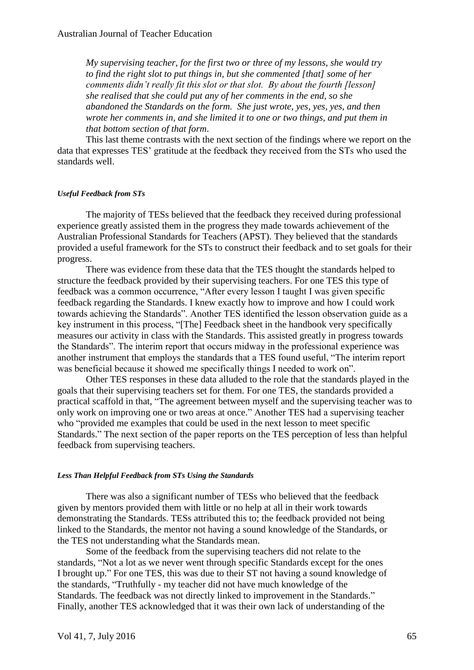*My supervising teacher, for the first two or three of my lessons, she would try to find the right slot to put things in, but she commented [that] some of her comments didn't really fit this slot or that slot. By about the fourth [lesson] she realised that she could put any of her comments in the end, so she abandoned the Standards on the form. She just wrote, yes, yes, yes, and then wrote her comments in, and she limited it to one or two things, and put them in that bottom section of that form*.

This last theme contrasts with the next section of the findings where we report on the data that expresses TES' gratitude at the feedback they received from the STs who used the standards well.

#### *Useful Feedback from STs*

The majority of TESs believed that the feedback they received during professional experience greatly assisted them in the progress they made towards achievement of the Australian Professional Standards for Teachers (APST). They believed that the standards provided a useful framework for the STs to construct their feedback and to set goals for their progress.

There was evidence from these data that the TES thought the standards helped to structure the feedback provided by their supervising teachers. For one TES this type of feedback was a common occurrence, "After every lesson I taught I was given specific feedback regarding the Standards. I knew exactly how to improve and how I could work towards achieving the Standards". Another TES identified the lesson observation guide as a key instrument in this process, "[The] Feedback sheet in the handbook very specifically measures our activity in class with the Standards. This assisted greatly in progress towards the Standards". The interim report that occurs midway in the professional experience was another instrument that employs the standards that a TES found useful, "The interim report was beneficial because it showed me specifically things I needed to work on".

Other TES responses in these data alluded to the role that the standards played in the goals that their supervising teachers set for them. For one TES, the standards provided a practical scaffold in that, "The agreement between myself and the supervising teacher was to only work on improving one or two areas at once." Another TES had a supervising teacher who "provided me examples that could be used in the next lesson to meet specific Standards." The next section of the paper reports on the TES perception of less than helpful feedback from supervising teachers.

#### *Less Than Helpful Feedback from STs Using the Standards*

There was also a significant number of TESs who believed that the feedback given by mentors provided them with little or no help at all in their work towards demonstrating the Standards. TESs attributed this to; the feedback provided not being linked to the Standards, the mentor not having a sound knowledge of the Standards, or the TES not understanding what the Standards mean.

Some of the feedback from the supervising teachers did not relate to the standards, "Not a lot as we never went through specific Standards except for the ones I brought up." For one TES, this was due to their ST not having a sound knowledge of the standards, "Truthfully - my teacher did not have much knowledge of the Standards. The feedback was not directly linked to improvement in the Standards." Finally, another TES acknowledged that it was their own lack of understanding of the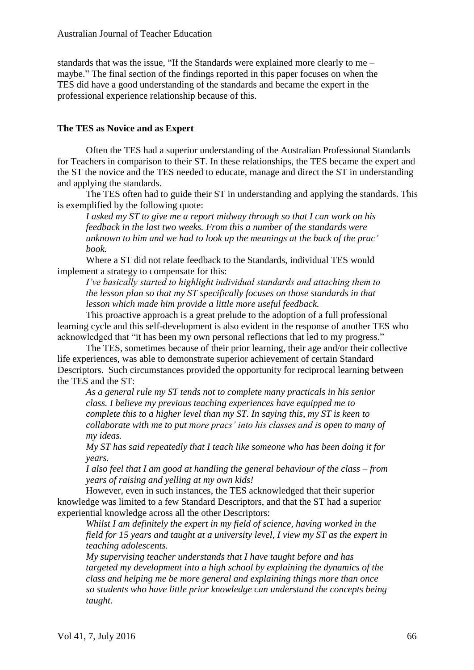standards that was the issue, "If the Standards were explained more clearly to me – maybe." The final section of the findings reported in this paper focuses on when the TES did have a good understanding of the standards and became the expert in the professional experience relationship because of this.

## **The TES as Novice and as Expert**

Often the TES had a superior understanding of the Australian Professional Standards for Teachers in comparison to their ST. In these relationships, the TES became the expert and the ST the novice and the TES needed to educate, manage and direct the ST in understanding and applying the standards.

The TES often had to guide their ST in understanding and applying the standards. This is exemplified by the following quote:

*I asked my ST to give me a report midway through so that I can work on his feedback in the last two weeks. From this a number of the standards were unknown to him and we had to look up the meanings at the back of the prac' book.*

Where a ST did not relate feedback to the Standards, individual TES would implement a strategy to compensate for this:

*I've basically started to highlight individual standards and attaching them to the lesson plan so that my ST specifically focuses on those standards in that lesson which made him provide a little more useful feedback.*

This proactive approach is a great prelude to the adoption of a full professional learning cycle and this self-development is also evident in the response of another TES who acknowledged that "it has been my own personal reflections that led to my progress."

The TES, sometimes because of their prior learning, their age and/or their collective life experiences, was able to demonstrate superior achievement of certain Standard Descriptors. Such circumstances provided the opportunity for reciprocal learning between the TES and the ST:

*As a general rule my ST tends not to complete many practicals in his senior class. I believe my previous teaching experiences have equipped me to complete this to a higher level than my ST. In saying this, my ST is keen to collaborate with me to put more pracs' into his classes and is open to many of my ideas.*

*My ST has said repeatedly that I teach like someone who has been doing it for years.*

*I also feel that I am good at handling the general behaviour of the class – from years of raising and yelling at my own kids!*

However, even in such instances, the TES acknowledged that their superior knowledge was limited to a few Standard Descriptors, and that the ST had a superior experiential knowledge across all the other Descriptors:

*Whilst I am definitely the expert in my field of science, having worked in the field for 15 years and taught at a university level, I view my ST as the expert in teaching adolescents.*

*My supervising teacher understands that I have taught before and has targeted my development into a high school by explaining the dynamics of the class and helping me be more general and explaining things more than once so students who have little prior knowledge can understand the concepts being taught.*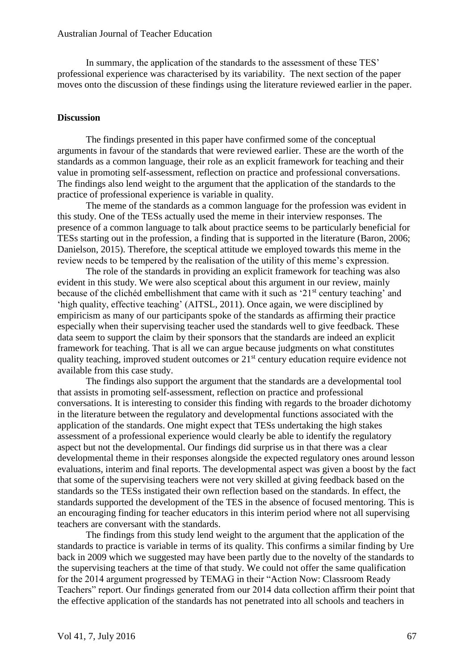In summary, the application of the standards to the assessment of these TES' professional experience was characterised by its variability. The next section of the paper moves onto the discussion of these findings using the literature reviewed earlier in the paper.

## **Discussion**

The findings presented in this paper have confirmed some of the conceptual arguments in favour of the standards that were reviewed earlier. These are the worth of the standards as a common language, their role as an explicit framework for teaching and their value in promoting self-assessment, reflection on practice and professional conversations. The findings also lend weight to the argument that the application of the standards to the practice of professional experience is variable in quality.

The meme of the standards as a common language for the profession was evident in this study. One of the TESs actually used the meme in their interview responses. The presence of a common language to talk about practice seems to be particularly beneficial for TESs starting out in the profession, a finding that is supported in the literature (Baron, 2006; Danielson, 2015). Therefore, the sceptical attitude we employed towards this meme in the review needs to be tempered by the realisation of the utility of this meme's expression.

The role of the standards in providing an explicit framework for teaching was also evident in this study. We were also sceptical about this argument in our review, mainly because of the clichéd embellishment that came with it such as '21<sup>st</sup> century teaching' and 'high quality, effective teaching' (AITSL, 2011). Once again, we were disciplined by empiricism as many of our participants spoke of the standards as affirming their practice especially when their supervising teacher used the standards well to give feedback. These data seem to support the claim by their sponsors that the standards are indeed an explicit framework for teaching. That is all we can argue because judgments on what constitutes quality teaching, improved student outcomes or  $21<sup>st</sup>$  century education require evidence not available from this case study.

The findings also support the argument that the standards are a developmental tool that assists in promoting self-assessment, reflection on practice and professional conversations. It is interesting to consider this finding with regards to the broader dichotomy in the literature between the regulatory and developmental functions associated with the application of the standards. One might expect that TESs undertaking the high stakes assessment of a professional experience would clearly be able to identify the regulatory aspect but not the developmental. Our findings did surprise us in that there was a clear developmental theme in their responses alongside the expected regulatory ones around lesson evaluations, interim and final reports. The developmental aspect was given a boost by the fact that some of the supervising teachers were not very skilled at giving feedback based on the standards so the TESs instigated their own reflection based on the standards. In effect, the standards supported the development of the TES in the absence of focused mentoring. This is an encouraging finding for teacher educators in this interim period where not all supervising teachers are conversant with the standards.

The findings from this study lend weight to the argument that the application of the standards to practice is variable in terms of its quality. This confirms a similar finding by Ure back in 2009 which we suggested may have been partly due to the novelty of the standards to the supervising teachers at the time of that study. We could not offer the same qualification for the 2014 argument progressed by TEMAG in their "Action Now: Classroom Ready Teachers" report. Our findings generated from our 2014 data collection affirm their point that the effective application of the standards has not penetrated into all schools and teachers in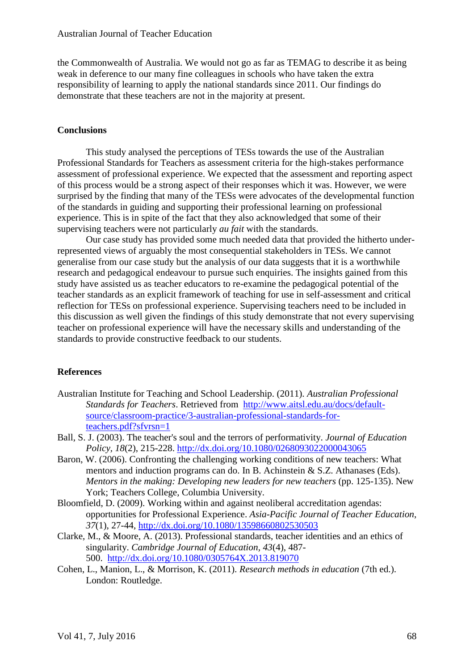the Commonwealth of Australia. We would not go as far as TEMAG to describe it as being weak in deference to our many fine colleagues in schools who have taken the extra responsibility of learning to apply the national standards since 2011. Our findings do demonstrate that these teachers are not in the majority at present.

## **Conclusions**

This study analysed the perceptions of TESs towards the use of the Australian Professional Standards for Teachers as assessment criteria for the high-stakes performance assessment of professional experience. We expected that the assessment and reporting aspect of this process would be a strong aspect of their responses which it was. However, we were surprised by the finding that many of the TESs were advocates of the developmental function of the standards in guiding and supporting their professional learning on professional experience. This is in spite of the fact that they also acknowledged that some of their supervising teachers were not particularly *au fait* with the standards.

Our case study has provided some much needed data that provided the hitherto underrepresented views of arguably the most consequential stakeholders in TESs. We cannot generalise from our case study but the analysis of our data suggests that it is a worthwhile research and pedagogical endeavour to pursue such enquiries. The insights gained from this study have assisted us as teacher educators to re-examine the pedagogical potential of the teacher standards as an explicit framework of teaching for use in self-assessment and critical reflection for TESs on professional experience. Supervising teachers need to be included in this discussion as well given the findings of this study demonstrate that not every supervising teacher on professional experience will have the necessary skills and understanding of the standards to provide constructive feedback to our students.

## **References**

- Australian Institute for Teaching and School Leadership. (2011). *Australian Professional Standards for Teachers*. Retrieved from [http://www.aitsl.edu.au/docs/default](http://www.aitsl.edu.au/docs/default-source/classroom-practice/3-australian-professional-standards-for-teachers.pdf?sfvrsn=1)[source/classroom-practice/3-australian-professional-standards-for](http://www.aitsl.edu.au/docs/default-source/classroom-practice/3-australian-professional-standards-for-teachers.pdf?sfvrsn=1)[teachers.pdf?sfvrsn=1](http://www.aitsl.edu.au/docs/default-source/classroom-practice/3-australian-professional-standards-for-teachers.pdf?sfvrsn=1)
- Ball, S. J. (2003). The teacher's soul and the terrors of performativity. *Journal of Education Policy, 18*(2), 215-228.<http://dx.doi.org/10.1080/0268093022000043065>
- Baron, W. (2006). Confronting the challenging working conditions of new teachers: What mentors and induction programs can do. In B. Achinstein & S.Z. Athanases (Eds). *Mentors in the making: Developing new leaders for new teachers* (pp. 125-135). New York; Teachers College, Columbia University.
- Bloomfield, D. (2009). Working within and against neoliberal accreditation agendas: opportunities for Professional Experience. *Asia-Pacific Journal of Teacher Education*, *37*(1), 27-44,<http://dx.doi.org/10.1080/13598660802530503>
- Clarke, M., & Moore, A. (2013). Professional standards, teacher identities and an ethics of singularity. *Cambridge Journal of Education, 43*(4), 487- 500. <http://dx.doi.org/10.1080/0305764X.2013.819070>
- Cohen, L., Manion, L., & Morrison, K. (2011). *Research methods in education* (7th ed.). London: Routledge.